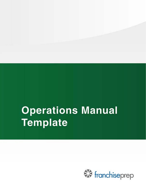# **Operations Manual** Template

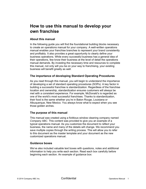# **How to use this manual to develop your own franchise**

## **About this manual**

In the following guide you will find the foundational building blocks necessary to create an operations manual for your company. A well-written operations manual enables your franchise branches to represent your brand consistently and profitably. It also provides a great opportunity to clearly define your business operations. While every successful business has a general idea of their operations, few know their business at the level of detail the operations manual demands. By investing the necessary time and resources to complete this manual, not only will you be on your way to franchising, your existing business will benefit greatly as well.

### **The importance of developing Standard Operating Procedures**

As you read through this manual, you will begin to understand the importance of developing a set of standard operating procedures (SOPs). A key factor in building a successful franchise is standardization. Regardless of the franchise location and ownership, standardization ensures customers will always be met with a consistent experience. For example, McDonald's is regarded as one of the world's most successful franchises. Thanks to standardization, their food is the same whether you're in Baton Rouge, Louisiana or Albuquerque, New Mexico. You always know what to expect when you see those golden arches.

# **The purpose of this manual**

This manual was created using a fictitious window cleaning company named *Company ABC*. This content was provided to give you an example of a typical operations manual. As you customize the document to reflect your business, the name and many of the details will change. We recommend you save multiple copies through the writing process. This will allow you to refer to this document as the master template and your document as the new customized operations manual.

# **Guidance boxes**

We've also included valuable text boxes with questions, notes and additional information to help you write each section. Read each box carefully before beginning each section. An example of guidance box: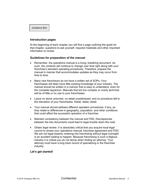*Guidance Box* 

#### **Introduction pages**

At the beginning of each chapter you will find a page outlining the goals for that chapter, questions to ask yourself, required materials and other important information to review.

#### **Guidelines for preparation of the manual**

- Remember, the operations manual is a living, breathing document. As such, the contents will continue to change over time right along with your franchise's standard operating procedures. Therefore, prepare the manual in manner that accommodates updates as they may occur from time to time.
- Many new franchisors do not have a written set of SOPs. Your franchisees will likely have little existing knowledge of your industry. The manual should be written in a manner that is easy to understand, even for the complete layperson. Manuals that are too complex or overly technical will be of little or no use to your franchisees.
- Leave no stone unturned, no detail unaddressed, and no procedure left to the discretion of your franchisees. Detail, detail, detail.
- Your manual should address different operation procedures, if any, as they relate to differences in geography, population, and other conditions that could affect the successful operation of a franchise.
- Maintain consistency between the manual and FDD. Discrepancies between the two documents could lead to legal trouble down the road.
- Obtain legal review. It is absolutely critical that you acquire local legal council to review your operations manual, franchise agreement and FDD. We are not legal experts; entering into franchising without legal oversight is an accident waiting to happen. Because franchising is such a litigious industry it is critical you do not skimp when finding an attorney. Your attorney must have a long track record of specializing in the franchise industry.

### **Let's get started!**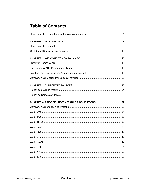# **Table of Contents**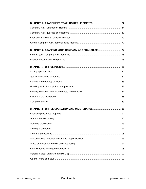| CHAPTER 6: STAFFING YOUR COMPANY ABC FRANCHISE 74 |  |
|---------------------------------------------------|--|
|                                                   |  |
|                                                   |  |
|                                                   |  |
|                                                   |  |
|                                                   |  |
|                                                   |  |
|                                                   |  |
|                                                   |  |
|                                                   |  |
|                                                   |  |
|                                                   |  |
|                                                   |  |
|                                                   |  |
|                                                   |  |
|                                                   |  |
|                                                   |  |
|                                                   |  |
|                                                   |  |
|                                                   |  |
|                                                   |  |
|                                                   |  |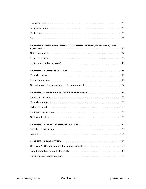| CHAPTER 9: OFFICE EQUIPMENT, COMPUTER SYSTEM, INVENTORY, AND |  |
|--------------------------------------------------------------|--|
|                                                              |  |
|                                                              |  |
|                                                              |  |
|                                                              |  |
|                                                              |  |
|                                                              |  |
|                                                              |  |
|                                                              |  |
|                                                              |  |
|                                                              |  |
|                                                              |  |
|                                                              |  |
|                                                              |  |
|                                                              |  |
|                                                              |  |
|                                                              |  |
|                                                              |  |
|                                                              |  |
|                                                              |  |
|                                                              |  |
|                                                              |  |
|                                                              |  |
|                                                              |  |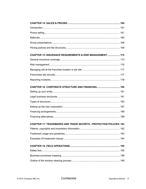| CHAPTER 15: INSURANCE REQUIREMENTS & RISK MANAGEMENT 172                  |  |
|---------------------------------------------------------------------------|--|
|                                                                           |  |
|                                                                           |  |
|                                                                           |  |
|                                                                           |  |
|                                                                           |  |
|                                                                           |  |
|                                                                           |  |
|                                                                           |  |
|                                                                           |  |
|                                                                           |  |
|                                                                           |  |
|                                                                           |  |
| <b>CHAPTER 17: TRADEMARKS AND TRADE SECRETS - PROTECTION POLICIES 192</b> |  |
|                                                                           |  |
|                                                                           |  |
|                                                                           |  |
|                                                                           |  |
|                                                                           |  |
|                                                                           |  |
|                                                                           |  |